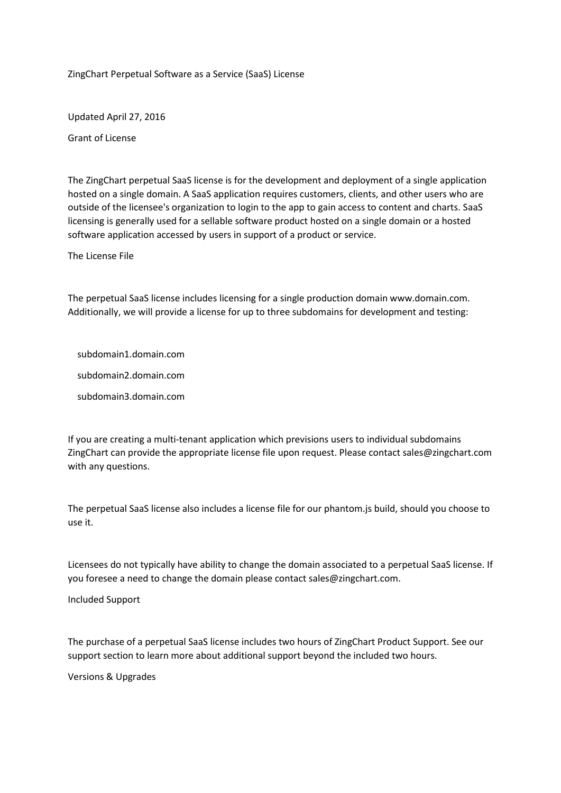ZingChart Perpetual Software as a Service (SaaS) License

Updated April 27, 2016

Grant of License

The ZingChart perpetual SaaS license is for the development and deployment of a single application hosted on a single domain. A SaaS application requires customers, clients, and other users who are outside of the licensee's organization to login to the app to gain access to content and charts. SaaS licensing is generally used for a sellable software product hosted on a single domain or a hosted software application accessed by users in support of a product or service.

The License File

The perpetual SaaS license includes licensing for a single production domain www.domain.com. Additionally, we will provide a license for up to three subdomains for development and testing:

subdomain1.domain.com

subdomain2.domain.com

subdomain3.domain.com

If you are creating a multi-tenant application which previsions users to individual subdomains ZingChart can provide the appropriate license file upon request. Please contact sales@zingchart.com with any questions.

The perpetual SaaS license also includes a license file for our phantom.js build, should you choose to use it.

Licensees do not typically have ability to change the domain associated to a perpetual SaaS license. If you foresee a need to change the domain please contact sales@zingchart.com.

Included Support

The purchase of a perpetual SaaS license includes two hours of ZingChart Product Support. See our support section to learn more about additional support beyond the included two hours.

Versions & Upgrades